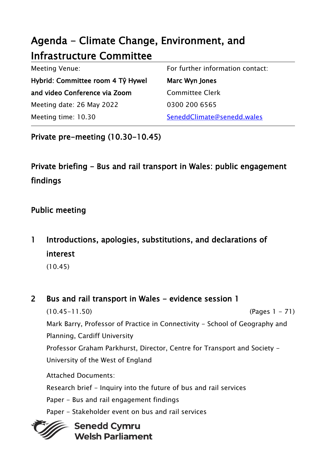# Agenda - Climate Change, Environment, and Infrastructure Committee

| <b>Meeting Venue:</b>             | For further information contact: |
|-----------------------------------|----------------------------------|
| Hybrid: Committee room 4 Tŷ Hywel | Marc Wyn Jones                   |
| and video Conference via Zoom     | <b>Committee Clerk</b>           |
| Meeting date: 26 May 2022         | 0300 200 6565                    |
| Meeting time: 10.30               | SeneddClimate@senedd.wales       |

Private pre-meeting (10.30-10.45)

# Private briefing - Bus and rail transport in Wales: public engagement findings

# Public meeting

1 Introductions, apologies, substitutions, and declarations of interest

(10.45)

2 Bus and rail transport in Wales - evidence session 1

(10.45-11.50) (Pages 1 - 71) Mark Barry, Professor of Practice in Connectivity - School of Geography and Planning, Cardiff University Professor Graham Parkhurst, Director, Centre for Transport and Society -

University of the West of England

Attached Documents:

Research brief - Inquiry into the future of bus and rail services

- Paper Bus and rail engagement findings
- Paper Stakeholder event on bus and rail services



# **Senedd Cymru Welsh Parliament**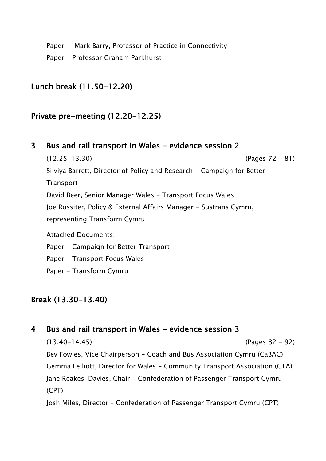Paper - Mark Barry, Professor of Practice in Connectivity Paper - Professor Graham Parkhurst

### Lunch break (11.50-12.20)

### Private pre-meeting (12.20-12.25)

3 Bus and rail transport in Wales - evidence session 2 (12.25-13.30) (Pages 72 - 81) Silviya Barrett, Director of Policy and Research - Campaign for Better **Transport** David Beer, Senior Manager Wales - Transport Focus Wales Joe Rossiter, Policy & External Affairs Manager - Sustrans Cymru, representing Transform Cymru Attached Documents: Paper - Campaign for Better Transport Paper - Transport Focus Wales Paper - Transform Cymru

## Break (13.30-13.40)

## 4 Bus and rail transport in Wales - evidence session 3

(13.40-14.45) (Pages 82 - 92) Bev Fowles, Vice Chairperson - Coach and Bus Association Cymru (CaBAC) Gemma Lelliott, Director for Wales - Community Transport Association (CTA) Jane Reakes-Davies, Chair - Confederation of Passenger Transport Cymru (CPT)

Josh Miles, Director – Confederation of Passenger Transport Cymru (CPT)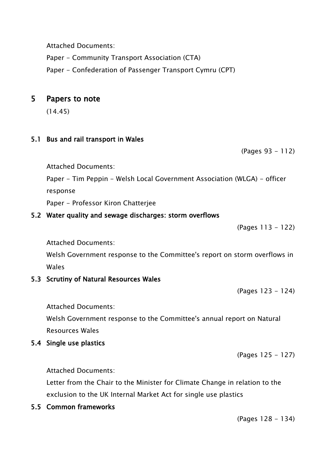Attached Documents:

Paper - Community Transport Association (CTA)

Paper - Confederation of Passenger Transport Cymru (CPT)

### 5 Papers to note

(14.45)

### 5.1 Bus and rail transport in Wales

(Pages 93 - 112)

Attached Documents:

Paper - Tim Peppin - Welsh Local Government Association (WLGA) - officer

response

Paper - Professor Kiron Chatterjee

#### 5.2 Water quality and sewage discharges: storm overflows

(Pages 113 - 122)

Attached Documents:

Welsh Government response to the Committee's report on storm overflows in Wales

#### 5.3 Scrutiny of Natural Resources Wales

(Pages 123 - 124)

Attached Documents:

Welsh Government response to the Committee's annual report on Natural Resources Wales

#### 5.4 Single use plastics

(Pages 125 - 127)

Attached Documents:

Letter from the Chair to the Minister for Climate Change in relation to the exclusion to the UK Internal Market Act for single use plastics

5.5 Common frameworks

(Pages 128 - 134)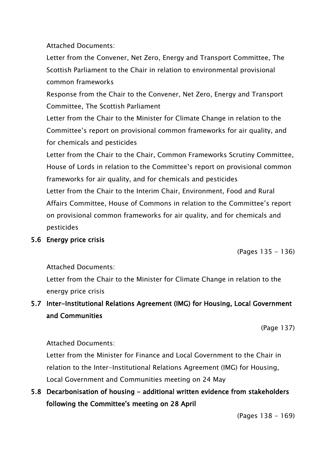Attached Documents:

Letter from the Convener, Net Zero, Energy and Transport Committee, The Scottish Parliament to the Chair in relation to environmental provisional common frameworks

Response from the Chair to the Convener, Net Zero, Energy and Transport Committee, The Scottish Parliament

Letter from the Chair to the Minister for Climate Change in relation to the Committee's report on provisional common frameworks for air quality, and for chemicals and pesticides

Letter from the Chair to the Chair, Common Frameworks Scrutiny Committee, House of Lords in relation to the Committee's report on provisional common frameworks for air quality, and for chemicals and pesticides Letter from the Chair to the Interim Chair, Environment, Food and Rural Affairs Committee, House of Commons in relation to the Committee's report on provisional common frameworks for air quality, and for chemicals and pesticides

#### 5.6 Energy price crisis

(Pages 135 - 136)

Attached Documents:

Letter from the Chair to the Minister for Climate Change in relation to the energy price crisis

# 5.7 Inter-Institutional Relations Agreement (IMG) for Housing, Local Government and Communities

(Page 137)

Attached Documents:

Letter from the Minister for Finance and Local Government to the Chair in relation to the Inter-Institutional Relations Agreement (IMG) for Housing, Local Government and Communities meeting on 24 May

# 5.8 Decarbonisation of housing - additional written evidence from stakeholders following the Committee's meeting on 28 April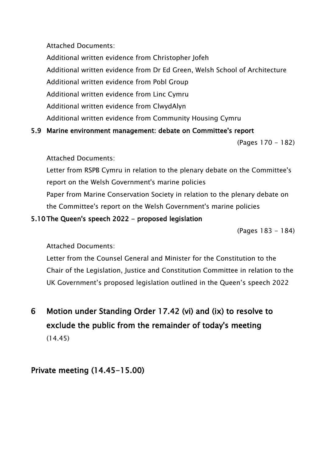Attached Documents:

Additional written evidence from Christopher Jofeh Additional written evidence from Dr Ed Green, Welsh School of Architecture Additional written evidence from Pobl Group Additional written evidence from Linc Cymru Additional written evidence from ClwydAlyn

### 5.9 Marine environment management: debate on Committee's report

Additional written evidence from Community Housing Cymru

(Pages 170 - 182)

Attached Documents:

Letter from RSPB Cymru in relation to the plenary debate on the Committee's report on the Welsh Government's marine policies Paper from Marine Conservation Society in relation to the plenary debate on the Committee's report on the Welsh Government's marine policies

## 5.10 The Queen's speech 2022 - proposed legislation

(Pages 183 - 184)

Attached Documents:

Letter from the Counsel General and Minister for the Constitution to the Chair of the Legislation, Justice and Constitution Committee in relation to the UK Government's proposed legislation outlined in the Queen's speech 2022

# 6 Motion under Standing Order 17.42 (vi) and (ix) to resolve to exclude the public from the remainder of today's meeting (14.45)

# Private meeting (14.45-15.00)